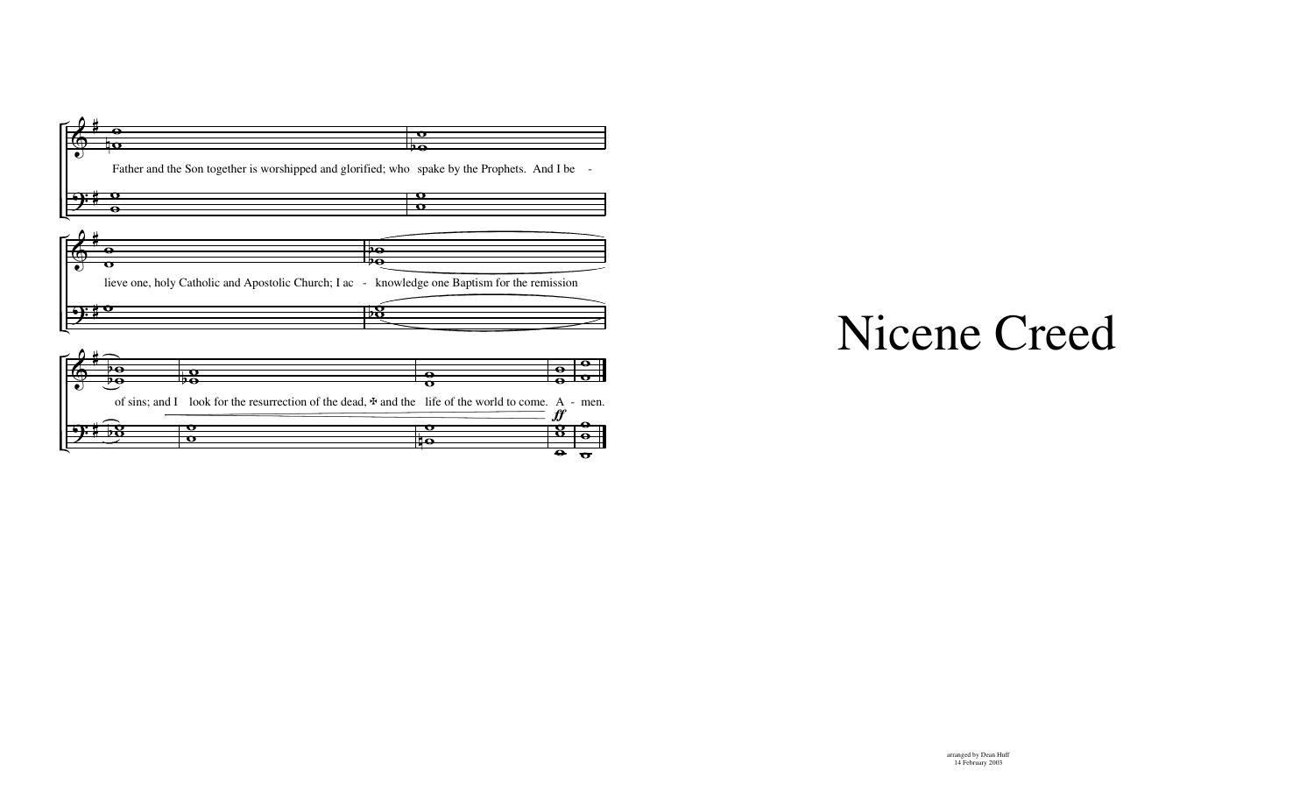

of sins; and I look for the resurrection of the dead,  $\pm$  and the life of the world to come. A - men.

o

 $f\hspace{-0.1cm}f$ 

 $\overline{\mathbf{B}}$  $\overline{\bullet}$ 

ө ө  $\sigma$ 

Θ

 $\overline{\mathbf{o}}$ ‡छ

 $\overline{\bullet}$ 

 $\overline{\mathbf{P}}$ 

Ħ

58

О  $\overline{\mathbf{o}}$ 

## Nicene Creed

## arranged by Dean Huff 14 February 2003